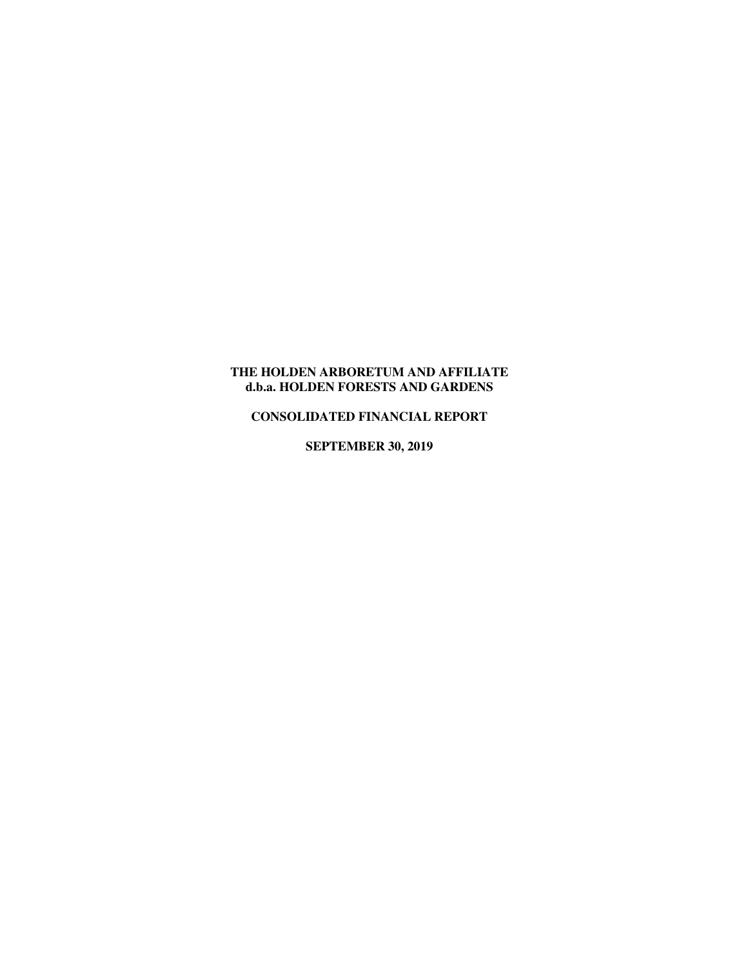#### **THE HOLDEN ARBORETUM AND AFFILIATE d.b.a. HOLDEN FORESTS AND GARDENS**

#### **CONSOLIDATED FINANCIAL REPORT**

**SEPTEMBER 30, 2019**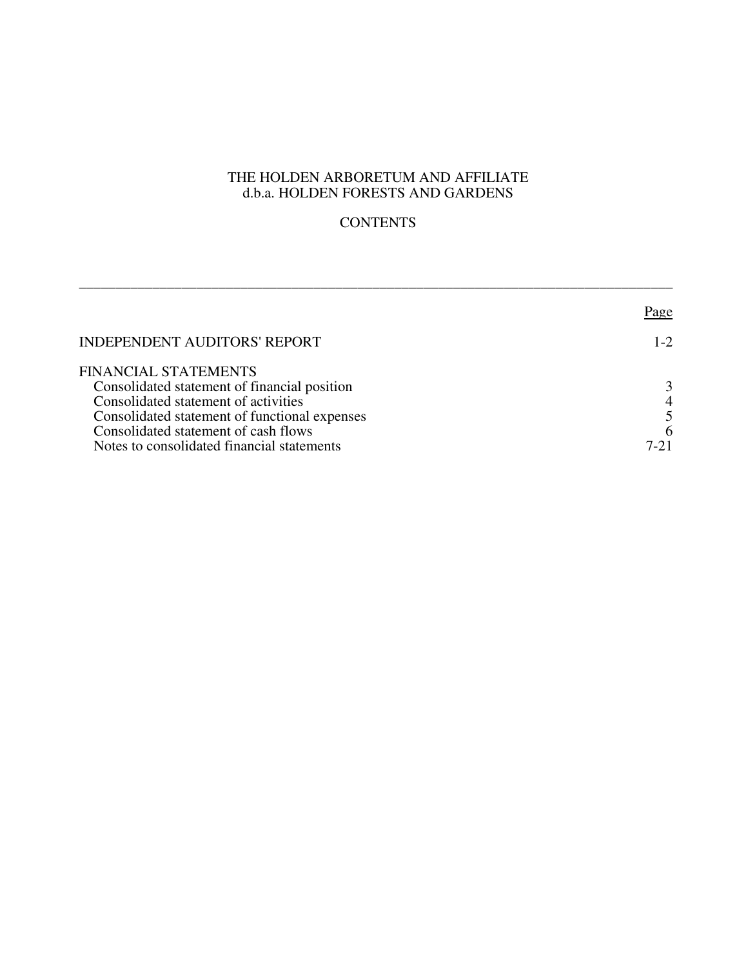# THE HOLDEN ARBORETUM AND AFFILIATE d.b.a. HOLDEN FORESTS AND GARDENS

# **CONTENTS**

\_\_\_\_\_\_\_\_\_\_\_\_\_\_\_\_\_\_\_\_\_\_\_\_\_\_\_\_\_\_\_\_\_\_\_\_\_\_\_\_\_\_\_\_\_\_\_\_\_\_\_\_\_\_\_\_\_\_\_\_\_\_\_\_\_\_\_\_\_\_\_\_\_\_\_\_\_\_\_\_\_

|                                                                                                                                                                                                              | Page     |
|--------------------------------------------------------------------------------------------------------------------------------------------------------------------------------------------------------------|----------|
| <b>INDEPENDENT AUDITORS' REPORT</b>                                                                                                                                                                          | $1 - 2$  |
| <b>FINANCIAL STATEMENTS</b><br>Consolidated statement of financial position<br>Consolidated statement of activities<br>Consolidated statement of functional expenses<br>Consolidated statement of cash flows | 6        |
| Notes to consolidated financial statements                                                                                                                                                                   | $7 - 21$ |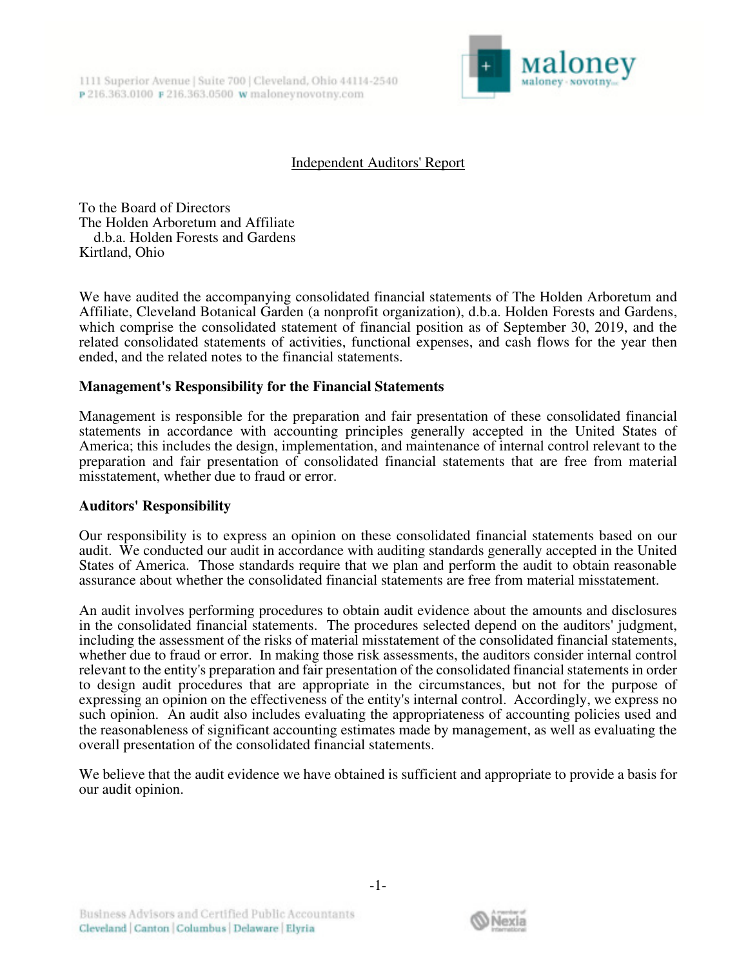

### Independent Auditors' Report

To the Board of Directors The Holden Arboretum and Affiliate d.b.a. Holden Forests and Gardens Kirtland, Ohio

We have audited the accompanying consolidated financial statements of The Holden Arboretum and Affiliate, Cleveland Botanical Garden (a nonprofit organization), d.b.a. Holden Forests and Gardens, which comprise the consolidated statement of financial position as of September 30, 2019, and the related consolidated statements of activities, functional expenses, and cash flows for the year then ended, and the related notes to the financial statements.

### **Management's Responsibility for the Financial Statements**

Management is responsible for the preparation and fair presentation of these consolidated financial statements in accordance with accounting principles generally accepted in the United States of America; this includes the design, implementation, and maintenance of internal control relevant to the preparation and fair presentation of consolidated financial statements that are free from material misstatement, whether due to fraud or error.

### **Auditors' Responsibility**

Our responsibility is to express an opinion on these consolidated financial statements based on our audit. We conducted our audit in accordance with auditing standards generally accepted in the United States of America. Those standards require that we plan and perform the audit to obtain reasonable assurance about whether the consolidated financial statements are free from material misstatement.

An audit involves performing procedures to obtain audit evidence about the amounts and disclosures in the consolidated financial statements. The procedures selected depend on the auditors' judgment, including the assessment of the risks of material misstatement of the consolidated financial statements, whether due to fraud or error. In making those risk assessments, the auditors consider internal control relevant to the entity's preparation and fair presentation of the consolidated financial statements in order to design audit procedures that are appropriate in the circumstances, but not for the purpose of expressing an opinion on the effectiveness of the entity's internal control. Accordingly, we express no such opinion. An audit also includes evaluating the appropriateness of accounting policies used and the reasonableness of significant accounting estimates made by management, as well as evaluating the overall presentation of the consolidated financial statements.

We believe that the audit evidence we have obtained is sufficient and appropriate to provide a basis for our audit opinion.

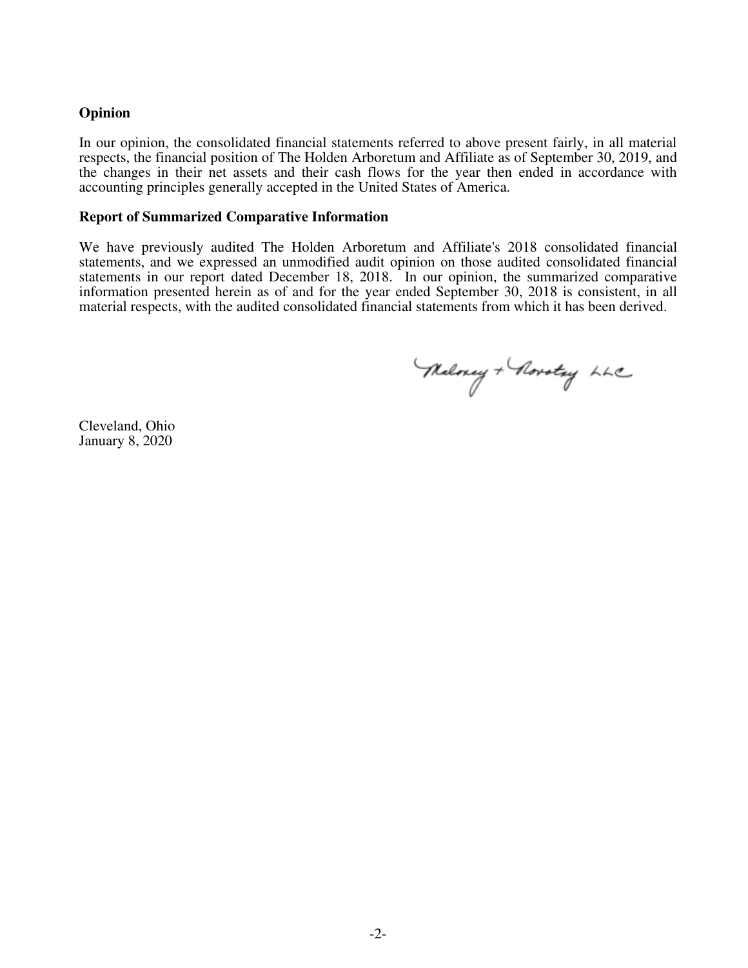### **Opinion**

In our opinion, the consolidated financial statements referred to above present fairly, in all material respects, the financial position of The Holden Arboretum and Affiliate as of September 30, 2019, and the changes in their net assets and their cash flows for the year then ended in accordance with accounting principles generally accepted in the United States of America.

#### **Report of Summarized Comparative Information**

We have previously audited The Holden Arboretum and Affiliate's 2018 consolidated financial statements, and we expressed an unmodified audit opinion on those audited consolidated financial statements in our report dated December 18, 2018. In our opinion, the summarized comparative information presented herein as of and for the year ended September 30, 2018 is consistent, in all material respects, with the audited consolidated financial statements from which it has been derived.

Maloney + Novotry LLC

Cleveland, Ohio January 8, 2020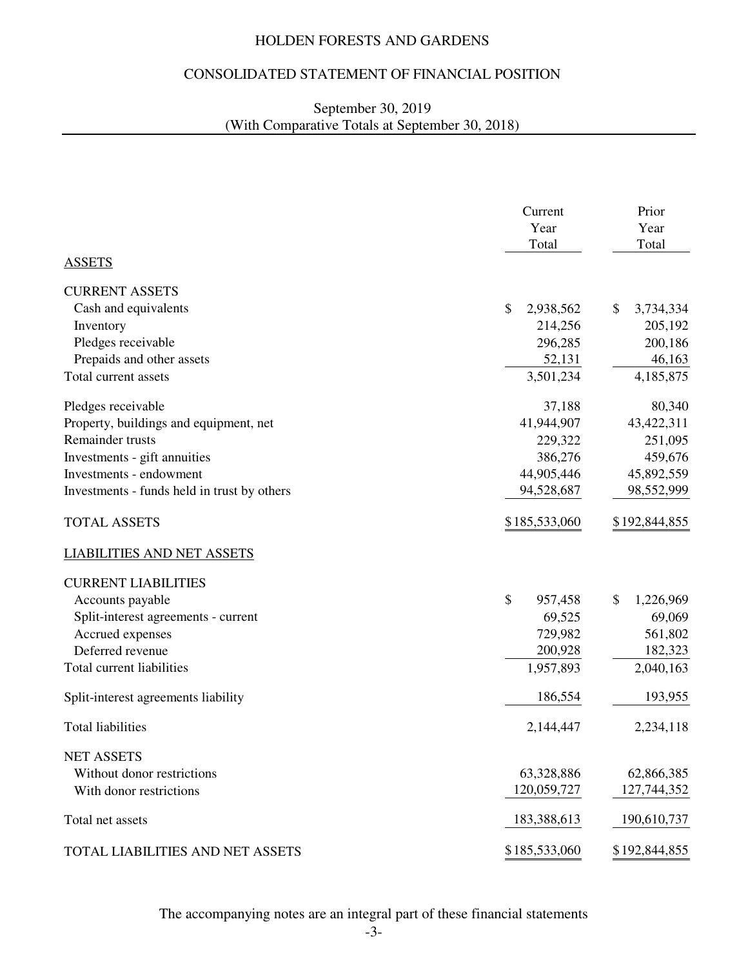# CONSOLIDATED STATEMENT OF FINANCIAL POSITION

# (With Comparative Totals at September 30, 2018) September 30, 2019

| <b>ASSETS</b>                               | Current<br>Year<br>Total | Prior<br>Year<br>Total |
|---------------------------------------------|--------------------------|------------------------|
|                                             |                          |                        |
| <b>CURRENT ASSETS</b>                       | \$<br>2,938,562          | \$<br>3,734,334        |
| Cash and equivalents<br>Inventory           | 214,256                  | 205,192                |
| Pledges receivable                          | 296,285                  | 200,186                |
| Prepaids and other assets                   | 52,131                   | 46,163                 |
| Total current assets                        | 3,501,234                | 4,185,875              |
| Pledges receivable                          | 37,188                   | 80,340                 |
| Property, buildings and equipment, net      | 41,944,907               | 43,422,311             |
| Remainder trusts                            | 229,322                  | 251,095                |
| Investments - gift annuities                | 386,276                  | 459,676                |
| Investments - endowment                     | 44,905,446               | 45,892,559             |
| Investments - funds held in trust by others | 94,528,687               | 98,552,999             |
| <b>TOTAL ASSETS</b>                         | \$185,533,060            | \$192,844,855          |
| <b>LIABILITIES AND NET ASSETS</b>           |                          |                        |
| <b>CURRENT LIABILITIES</b>                  |                          |                        |
| Accounts payable                            | \$<br>957,458            | \$<br>1,226,969        |
| Split-interest agreements - current         | 69,525                   | 69,069                 |
| Accrued expenses                            | 729,982                  | 561,802                |
| Deferred revenue                            | 200,928                  | 182,323                |
| Total current liabilities                   | 1,957,893                | 2,040,163              |
| Split-interest agreements liability         | 186,554                  | 193,955                |
| <b>Total liabilities</b>                    | 2,144,447                | 2,234,118              |
| <b>NET ASSETS</b>                           |                          |                        |
| Without donor restrictions                  | 63,328,886               | 62,866,385             |
| With donor restrictions                     | 120,059,727              | 127,744,352            |
| Total net assets                            | 183,388,613              | 190,610,737            |
| TOTAL LIABILITIES AND NET ASSETS            | \$185,533,060            | \$192,844,855          |

The accompanying notes are an integral part of these financial statements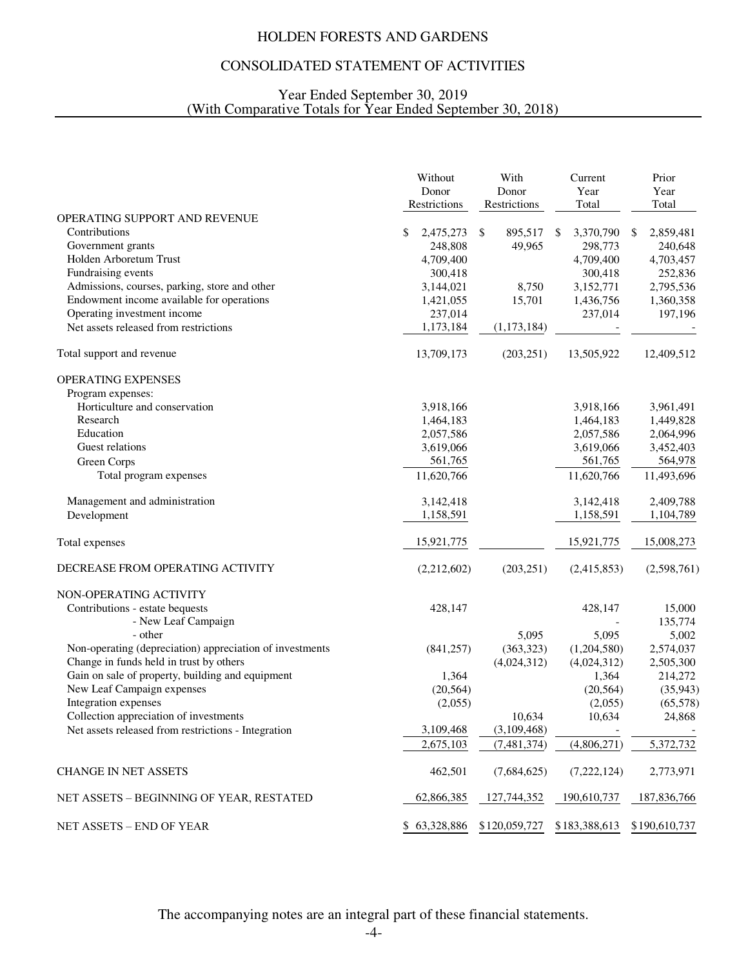### CONSOLIDATED STATEMENT OF ACTIVITIES

#### (With Comparative Totals for Year Ended September 30, 2018) Year Ended September 30, 2019

|                                                          | Without<br>Donor<br>Restrictions | With<br>Donor<br>Restrictions | Current<br>Year<br>Total | Prior<br>Year<br>Total |
|----------------------------------------------------------|----------------------------------|-------------------------------|--------------------------|------------------------|
| OPERATING SUPPORT AND REVENUE                            |                                  |                               |                          |                        |
| Contributions                                            | \$<br>2,475,273                  | \$<br>895,517                 | 3,370,790<br>\$          | 2,859,481<br>\$        |
| Government grants                                        | 248,808                          | 49,965                        | 298,773                  | 240,648                |
| Holden Arboretum Trust                                   | 4,709,400                        |                               | 4,709,400                | 4,703,457              |
| Fundraising events                                       | 300,418                          |                               | 300,418                  | 252,836                |
| Admissions, courses, parking, store and other            | 3,144,021                        | 8,750                         | 3,152,771                | 2,795,536              |
| Endowment income available for operations                | 1,421,055                        | 15,701                        | 1,436,756                | 1,360,358              |
| Operating investment income                              | 237,014                          |                               | 237,014                  | 197,196                |
| Net assets released from restrictions                    | 1,173,184                        | (1,173,184)                   |                          |                        |
| Total support and revenue                                | 13,709,173                       | (203, 251)                    | 13,505,922               | 12,409,512             |
| OPERATING EXPENSES                                       |                                  |                               |                          |                        |
| Program expenses:                                        |                                  |                               |                          |                        |
| Horticulture and conservation                            | 3,918,166                        |                               | 3,918,166                | 3,961,491              |
| Research                                                 | 1,464,183                        |                               | 1,464,183                | 1,449,828              |
| Education                                                | 2,057,586                        |                               | 2,057,586                | 2,064,996              |
| Guest relations                                          | 3,619,066                        |                               | 3,619,066                | 3,452,403              |
| Green Corps                                              | 561,765                          |                               | 561,765                  | 564,978                |
| Total program expenses                                   | 11,620,766                       |                               | 11,620,766               | 11,493,696             |
| Management and administration                            | 3,142,418                        |                               | 3,142,418                | 2,409,788              |
| Development                                              | 1,158,591                        |                               | 1,158,591                | 1,104,789              |
| Total expenses                                           | 15,921,775                       |                               | 15,921,775               | 15,008,273             |
| DECREASE FROM OPERATING ACTIVITY                         | (2,212,602)                      | (203, 251)                    | (2,415,853)              | (2,598,761)            |
| NON-OPERATING ACTIVITY                                   |                                  |                               |                          |                        |
| Contributions - estate bequests                          | 428,147                          |                               | 428,147                  | 15,000                 |
| - New Leaf Campaign                                      |                                  |                               |                          | 135,774                |
| - other                                                  |                                  | 5,095                         | 5,095                    | 5,002                  |
| Non-operating (depreciation) appreciation of investments | (841, 257)                       | (363,323)                     | (1,204,580)              | 2,574,037              |
| Change in funds held in trust by others                  |                                  | (4,024,312)                   | (4,024,312)              | 2,505,300              |
| Gain on sale of property, building and equipment         | 1,364                            |                               | 1,364                    | 214,272                |
| New Leaf Campaign expenses                               | (20, 564)                        |                               | (20, 564)                | (35, 943)              |
| Integration expenses                                     | (2,055)                          |                               | (2,055)                  | (65,578)               |
| Collection appreciation of investments                   |                                  | 10,634                        | 10,634                   | 24,868                 |
| Net assets released from restrictions - Integration      | 3,109,468                        | (3,109,468)                   |                          |                        |
|                                                          | 2,675,103                        | (7,481,374)                   | (4,806,271)              | 5,372,732              |
| <b>CHANGE IN NET ASSETS</b>                              | 462,501                          | (7,684,625)                   | (7,222,124)              | 2,773,971              |
| NET ASSETS - BEGINNING OF YEAR, RESTATED                 | 62,866,385                       | 127,744,352                   | 190,610,737              | 187,836,766            |
| NET ASSETS - END OF YEAR                                 | 63,328,886                       | \$120,059,727                 | \$183,388,613            | \$190,610,737          |

The accompanying notes are an integral part of these financial statements.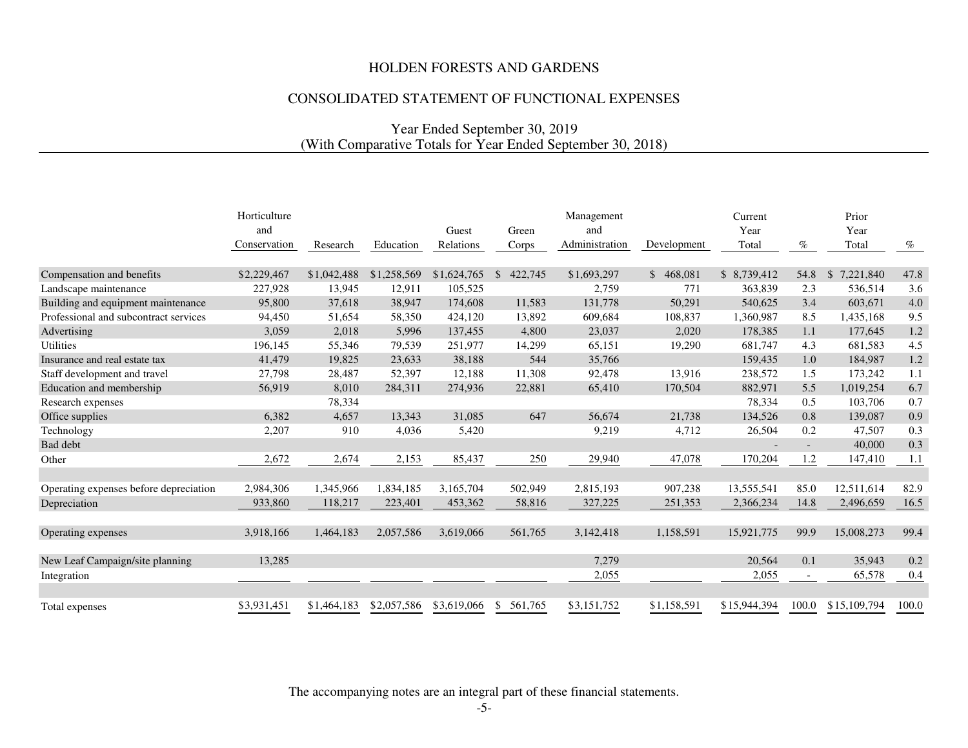# CONSOLIDATED STATEMENT OF FUNCTIONAL EXPENSES

#### (With Comparative Totals for Year Ended September 30, 2018) Year Ended September 30, 2019

|                                        | Horticulture<br>and<br>Conservation | Research    | Education   | Guest<br>Relations | Green<br>Corps          | Management<br>and<br>Administration | Development | Current<br>Year<br>Total | $\%$                     | Prior<br>Year<br>Total | $\%$  |
|----------------------------------------|-------------------------------------|-------------|-------------|--------------------|-------------------------|-------------------------------------|-------------|--------------------------|--------------------------|------------------------|-------|
| Compensation and benefits              | \$2,229,467                         | \$1,042,488 | \$1,258,569 | \$1,624,765        | 422,745<br>$\mathbb{S}$ | \$1,693,297                         | \$468,081   | \$ 8,739,412             | 54.8                     | 7,221,840<br>\$        | 47.8  |
| Landscape maintenance                  | 227,928                             | 13,945      | 12,911      | 105,525            |                         | 2,759                               | 771         | 363,839                  | 2.3                      | 536,514                | 3.6   |
| Building and equipment maintenance     | 95,800                              | 37,618      | 38,947      | 174,608            | 11,583                  | 131,778                             | 50,291      | 540,625                  | 3.4                      | 603,671                | 4.0   |
| Professional and subcontract services  | 94,450                              | 51,654      | 58,350      | 424,120            | 13,892                  | 609,684                             | 108,837     | 1,360,987                | 8.5                      | 1,435,168              | 9.5   |
| Advertising                            | 3,059                               | 2,018       | 5,996       | 137,455            | 4,800                   | 23,037                              | 2,020       | 178,385                  | 1.1                      | 177,645                | 1.2   |
| <b>Utilities</b>                       | 196,145                             | 55,346      | 79,539      | 251,977            | 14,299                  | 65,151                              | 19,290      | 681,747                  | 4.3                      | 681,583                | 4.5   |
| Insurance and real estate tax          | 41,479                              | 19,825      | 23,633      | 38,188             | 544                     | 35,766                              |             | 159,435                  | 1.0                      | 184,987                | 1.2   |
| Staff development and travel           | 27,798                              | 28,487      | 52,397      | 12,188             | 11,308                  | 92,478                              | 13,916      | 238,572                  | 1.5                      | 173,242                | 1.1   |
| Education and membership               | 56,919                              | 8,010       | 284,311     | 274,936            | 22,881                  | 65,410                              | 170,504     | 882,971                  | 5.5                      | 1,019,254              | 6.7   |
| Research expenses                      |                                     | 78,334      |             |                    |                         |                                     |             | 78,334                   | 0.5                      | 103,706                | 0.7   |
| Office supplies                        | 6,382                               | 4,657       | 13,343      | 31,085             | 647                     | 56,674                              | 21,738      | 134,526                  | 0.8                      | 139,087                | 0.9   |
| Technology                             | 2,207                               | 910         | 4,036       | 5,420              |                         | 9,219                               | 4,712       | 26,504                   | 0.2                      | 47,507                 | 0.3   |
| Bad debt                               |                                     |             |             |                    |                         |                                     |             |                          |                          | 40,000                 | 0.3   |
| Other                                  | 2,672                               | 2,674       | 2,153       | 85,437             | 250                     | 29,940                              | 47,078      | 170,204                  | 1.2                      | 147,410                | 1.1   |
| Operating expenses before depreciation | 2,984,306                           | 1,345,966   | 1,834,185   | 3.165.704          | 502,949                 | 2,815,193                           | 907,238     | 13,555,541               | 85.0                     | 12,511,614             | 82.9  |
| Depreciation                           | 933,860                             | 118,217     | 223,401     | 453,362            | 58,816                  | 327,225                             | 251,353     | 2,366,234                | 14.8                     | 2,496,659              | 16.5  |
| Operating expenses                     | 3,918,166                           | 1,464,183   | 2,057,586   | 3,619,066          | 561,765                 | 3,142,418                           | 1,158,591   | 15,921,775               | 99.9                     | 15,008,273             | 99.4  |
| New Leaf Campaign/site planning        | 13,285                              |             |             |                    |                         | 7,279                               |             | 20,564                   | 0.1                      | 35,943                 | 0.2   |
| Integration                            |                                     |             |             |                    |                         | 2,055                               |             | 2,055                    | $\overline{\phantom{a}}$ | 65,578                 | 0.4   |
| Total expenses                         | \$3,931,451                         | \$1,464,183 | \$2,057,586 | \$3,619,066        | S.<br>561,765           | \$3,151,752                         | \$1,158,591 | \$15,944,394             | 100.0                    | \$15,109,794           | 100.0 |

The accompanying notes are an integral part of these financial statements.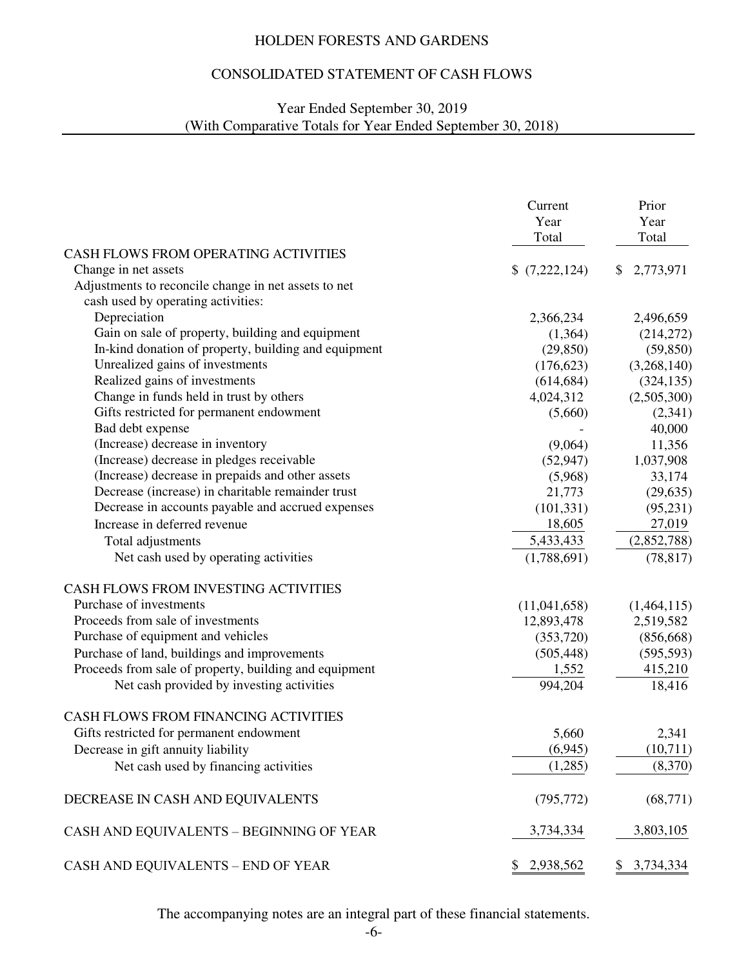# CONSOLIDATED STATEMENT OF CASH FLOWS

# (With Comparative Totals for Year Ended September 30, 2018) Year Ended September 30, 2019

|                                                        | Current<br>Year<br>Total | Prior<br>Year<br>Total |
|--------------------------------------------------------|--------------------------|------------------------|
| CASH FLOWS FROM OPERATING ACTIVITIES                   |                          |                        |
| Change in net assets                                   | \$(7,222,124)            | 2,773,971<br>\$        |
| Adjustments to reconcile change in net assets to net   |                          |                        |
| cash used by operating activities:                     |                          |                        |
| Depreciation                                           | 2,366,234                | 2,496,659              |
| Gain on sale of property, building and equipment       | (1,364)                  | (214, 272)             |
| In-kind donation of property, building and equipment   | (29, 850)                | (59, 850)              |
| Unrealized gains of investments                        | (176, 623)               | (3,268,140)            |
| Realized gains of investments                          | (614, 684)               | (324, 135)             |
| Change in funds held in trust by others                | 4,024,312                | (2,505,300)            |
| Gifts restricted for permanent endowment               | (5,660)                  | (2,341)                |
| Bad debt expense                                       |                          | 40,000                 |
| (Increase) decrease in inventory                       | (9,064)                  | 11,356                 |
| (Increase) decrease in pledges receivable              | (52, 947)                | 1,037,908              |
| (Increase) decrease in prepaids and other assets       | (5,968)                  | 33,174                 |
| Decrease (increase) in charitable remainder trust      | 21,773                   | (29, 635)              |
| Decrease in accounts payable and accrued expenses      | (101, 331)               | (95, 231)              |
| Increase in deferred revenue                           | 18,605                   | 27,019                 |
| Total adjustments                                      | 5,433,433                | (2,852,788)            |
| Net cash used by operating activities                  | (1,788,691)              | (78, 817)              |
| CASH FLOWS FROM INVESTING ACTIVITIES                   |                          |                        |
| Purchase of investments                                | (11,041,658)             | (1,464,115)            |
| Proceeds from sale of investments                      | 12,893,478               | 2,519,582              |
| Purchase of equipment and vehicles                     | (353,720)                | (856, 668)             |
| Purchase of land, buildings and improvements           | (505, 448)               | (595, 593)             |
| Proceeds from sale of property, building and equipment | 1,552                    | 415,210                |
| Net cash provided by investing activities              | 994,204                  | 18,416                 |
| <b>CASH FLOWS FROM FINANCING ACTIVITIES</b>            |                          |                        |
| Gifts restricted for permanent endowment               | 5,660                    | 2,341                  |
| Decrease in gift annuity liability                     | (6,945)                  | (10, 711)              |
| Net cash used by financing activities                  | (1,285)                  | (8,370)                |
| DECREASE IN CASH AND EQUIVALENTS                       | (795, 772)               | (68, 771)              |
| CASH AND EQUIVALENTS - BEGINNING OF YEAR               | 3,734,334                | 3,803,105              |
| CASH AND EQUIVALENTS - END OF YEAR                     | 2,938,562<br>S.          | 3,734,334<br>\$.       |

The accompanying notes are an integral part of these financial statements.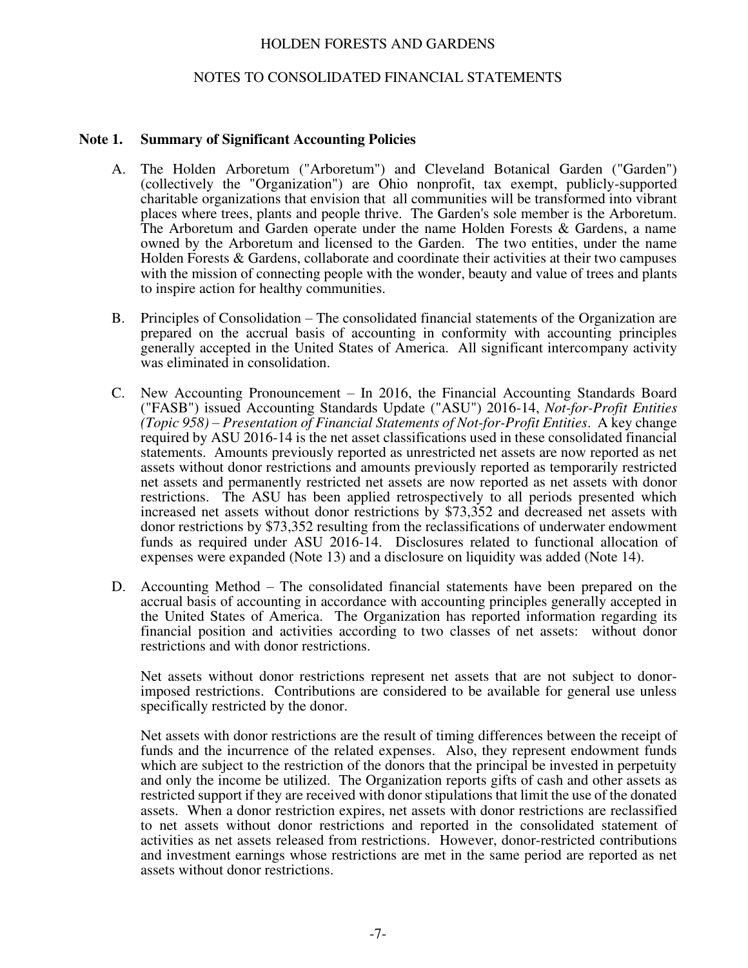### NOTES TO CONSOLIDATED FINANCIAL STATEMENTS

#### **Note 1. Summary of Significant Accounting Policies**

- A. The Holden Arboretum ("Arboretum") and Cleveland Botanical Garden ("Garden") (collectively the "Organization") are Ohio nonprofit, tax exempt, publicly-supported charitable organizations that envision that all communities will be transformed into vibrant places where trees, plants and people thrive. The Garden's sole member is the Arboretum. The Arboretum and Garden operate under the name Holden Forests & Gardens, a name owned by the Arboretum and licensed to the Garden. The two entities, under the name Holden Forests & Gardens, collaborate and coordinate their activities at their two campuses with the mission of connecting people with the wonder, beauty and value of trees and plants to inspire action for healthy communities.
- B. Principles of Consolidation The consolidated financial statements of the Organization are prepared on the accrual basis of accounting in conformity with accounting principles generally accepted in the United States of America. All significant intercompany activity was eliminated in consolidation.
- C. New Accounting Pronouncement In 2016, the Financial Accounting Standards Board ("FASB") issued Accounting Standards Update ("ASU") 2016-14, *Not-for-Profit Entities (Topic 958) – Presentation of Financial Statements of Not-for-Profit Entities*. A key change required by ASU 2016-14 is the net asset classifications used in these consolidated financial statements. Amounts previously reported as unrestricted net assets are now reported as net assets without donor restrictions and amounts previously reported as temporarily restricted net assets and permanently restricted net assets are now reported as net assets with donor restrictions. The ASU has been applied retrospectively to all periods presented which increased net assets without donor restrictions by \$73,352 and decreased net assets with donor restrictions by \$73,352 resulting from the reclassifications of underwater endowment funds as required under ASU 2016-14. Disclosures related to functional allocation of expenses were expanded (Note 13) and a disclosure on liquidity was added (Note 14).
- D. Accounting Method The consolidated financial statements have been prepared on the accrual basis of accounting in accordance with accounting principles generally accepted in the United States of America. The Organization has reported information regarding its financial position and activities according to two classes of net assets: without donor restrictions and with donor restrictions.

 Net assets without donor restrictions represent net assets that are not subject to donorimposed restrictions. Contributions are considered to be available for general use unless specifically restricted by the donor.

 Net assets with donor restrictions are the result of timing differences between the receipt of funds and the incurrence of the related expenses. Also, they represent endowment funds which are subject to the restriction of the donors that the principal be invested in perpetuity and only the income be utilized. The Organization reports gifts of cash and other assets as restricted support if they are received with donor stipulations that limit the use of the donated assets. When a donor restriction expires, net assets with donor restrictions are reclassified to net assets without donor restrictions and reported in the consolidated statement of activities as net assets released from restrictions. However, donor-restricted contributions and investment earnings whose restrictions are met in the same period are reported as net assets without donor restrictions.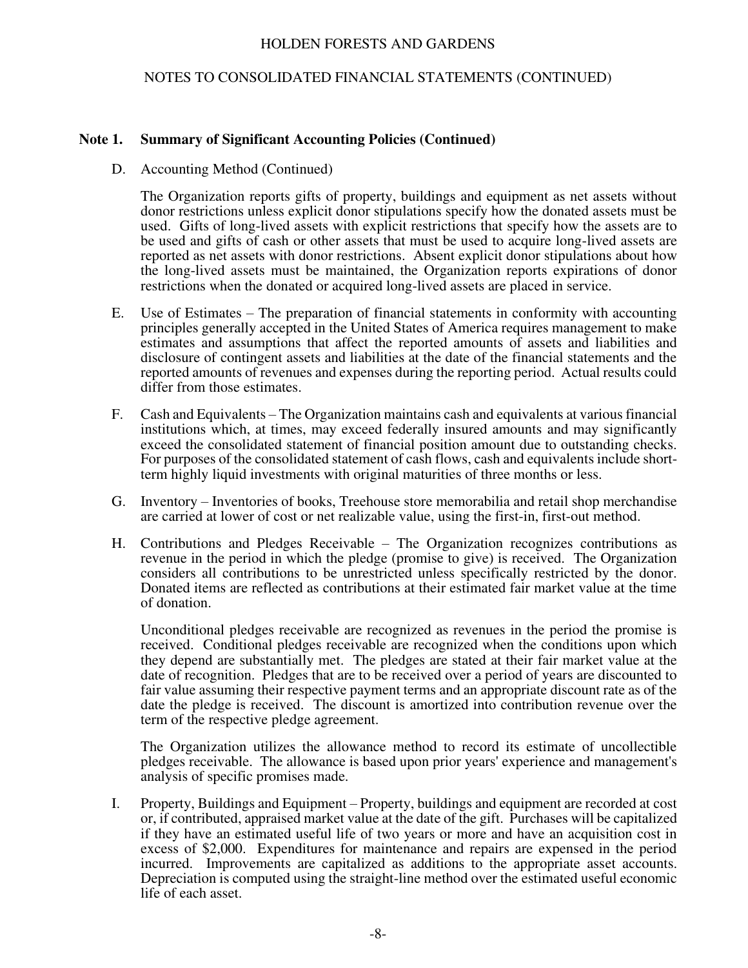### NOTES TO CONSOLIDATED FINANCIAL STATEMENTS (CONTINUED)

### **Note 1. Summary of Significant Accounting Policies (Continued)**

D. Accounting Method (Continued)

 The Organization reports gifts of property, buildings and equipment as net assets without donor restrictions unless explicit donor stipulations specify how the donated assets must be used. Gifts of long-lived assets with explicit restrictions that specify how the assets are to be used and gifts of cash or other assets that must be used to acquire long-lived assets are reported as net assets with donor restrictions. Absent explicit donor stipulations about how the long-lived assets must be maintained, the Organization reports expirations of donor restrictions when the donated or acquired long-lived assets are placed in service.

- E. Use of Estimates The preparation of financial statements in conformity with accounting principles generally accepted in the United States of America requires management to make estimates and assumptions that affect the reported amounts of assets and liabilities and disclosure of contingent assets and liabilities at the date of the financial statements and the reported amounts of revenues and expenses during the reporting period. Actual results could differ from those estimates.
- F. Cash and Equivalents The Organization maintains cash and equivalents at various financial institutions which, at times, may exceed federally insured amounts and may significantly exceed the consolidated statement of financial position amount due to outstanding checks. For purposes of the consolidated statement of cash flows, cash and equivalents include shortterm highly liquid investments with original maturities of three months or less.
- G. Inventory Inventories of books, Treehouse store memorabilia and retail shop merchandise are carried at lower of cost or net realizable value, using the first-in, first-out method.
- H. Contributions and Pledges Receivable The Organization recognizes contributions as revenue in the period in which the pledge (promise to give) is received. The Organization considers all contributions to be unrestricted unless specifically restricted by the donor. Donated items are reflected as contributions at their estimated fair market value at the time of donation.

 Unconditional pledges receivable are recognized as revenues in the period the promise is received. Conditional pledges receivable are recognized when the conditions upon which they depend are substantially met. The pledges are stated at their fair market value at the date of recognition. Pledges that are to be received over a period of years are discounted to fair value assuming their respective payment terms and an appropriate discount rate as of the date the pledge is received. The discount is amortized into contribution revenue over the term of the respective pledge agreement.

 The Organization utilizes the allowance method to record its estimate of uncollectible pledges receivable. The allowance is based upon prior years' experience and management's analysis of specific promises made.

I. Property, Buildings and Equipment – Property, buildings and equipment are recorded at cost or, if contributed, appraised market value at the date of the gift. Purchases will be capitalized if they have an estimated useful life of two years or more and have an acquisition cost in excess of \$2,000. Expenditures for maintenance and repairs are expensed in the period incurred. Improvements are capitalized as additions to the appropriate asset accounts. Depreciation is computed using the straight-line method over the estimated useful economic life of each asset.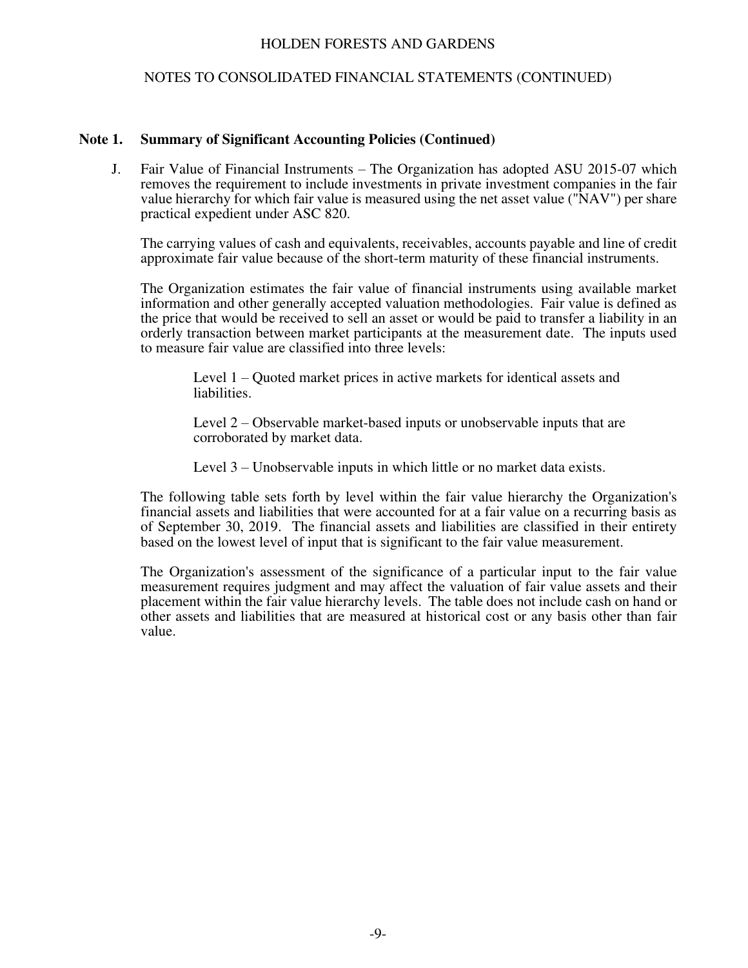### NOTES TO CONSOLIDATED FINANCIAL STATEMENTS (CONTINUED)

### **Note 1. Summary of Significant Accounting Policies (Continued)**

J. Fair Value of Financial Instruments – The Organization has adopted ASU 2015-07 which removes the requirement to include investments in private investment companies in the fair value hierarchy for which fair value is measured using the net asset value ("NAV") per share practical expedient under ASC 820.

 The carrying values of cash and equivalents, receivables, accounts payable and line of credit approximate fair value because of the short-term maturity of these financial instruments.

 The Organization estimates the fair value of financial instruments using available market information and other generally accepted valuation methodologies. Fair value is defined as the price that would be received to sell an asset or would be paid to transfer a liability in an orderly transaction between market participants at the measurement date. The inputs used to measure fair value are classified into three levels:

Level 1 – Quoted market prices in active markets for identical assets and liabilities.

Level 2 – Observable market-based inputs or unobservable inputs that are corroborated by market data.

Level 3 – Unobservable inputs in which little or no market data exists.

 The following table sets forth by level within the fair value hierarchy the Organization's financial assets and liabilities that were accounted for at a fair value on a recurring basis as of September 30, 2019. The financial assets and liabilities are classified in their entirety based on the lowest level of input that is significant to the fair value measurement.

 The Organization's assessment of the significance of a particular input to the fair value measurement requires judgment and may affect the valuation of fair value assets and their placement within the fair value hierarchy levels. The table does not include cash on hand or other assets and liabilities that are measured at historical cost or any basis other than fair value.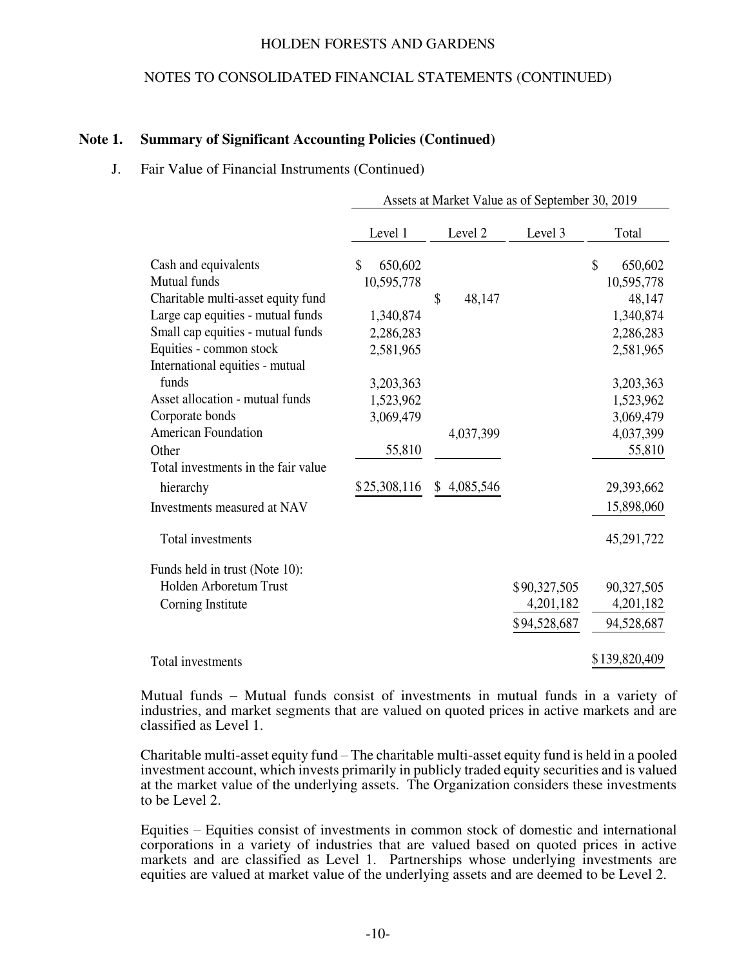### NOTES TO CONSOLIDATED FINANCIAL STATEMENTS (CONTINUED)

### **Note 1. Summary of Significant Accounting Policies (Continued)**

#### J. Fair Value of Financial Instruments (Continued)

|                                     |               | Assets at Market Value as of September 30, 2019 |              |               |  |
|-------------------------------------|---------------|-------------------------------------------------|--------------|---------------|--|
|                                     | Level 1       | Level 2                                         | Level 3      | Total         |  |
| Cash and equivalents                | \$<br>650,602 |                                                 |              | \$<br>650,602 |  |
| Mutual funds                        | 10,595,778    |                                                 |              | 10,595,778    |  |
| Charitable multi-asset equity fund  |               | \$<br>48,147                                    |              | 48,147        |  |
| Large cap equities - mutual funds   | 1,340,874     |                                                 |              | 1,340,874     |  |
| Small cap equities - mutual funds   | 2,286,283     |                                                 |              | 2,286,283     |  |
| Equities - common stock             | 2,581,965     |                                                 |              | 2,581,965     |  |
| International equities - mutual     |               |                                                 |              |               |  |
| funds                               | 3,203,363     |                                                 |              | 3,203,363     |  |
| Asset allocation - mutual funds     | 1,523,962     |                                                 |              | 1,523,962     |  |
| Corporate bonds                     | 3,069,479     |                                                 |              | 3,069,479     |  |
| American Foundation                 |               | 4,037,399                                       |              | 4,037,399     |  |
| Other                               | 55,810        |                                                 |              | 55,810        |  |
| Total investments in the fair value |               |                                                 |              |               |  |
| hierarchy                           | \$25,308,116  | \$4,085,546                                     |              | 29,393,662    |  |
| Investments measured at NAV         |               |                                                 |              | 15,898,060    |  |
| Total investments                   |               |                                                 |              | 45,291,722    |  |
| Funds held in trust (Note 10):      |               |                                                 |              |               |  |
| Holden Arboretum Trust              |               |                                                 | \$90,327,505 | 90,327,505    |  |
| Corning Institute                   |               |                                                 | 4,201,182    | 4,201,182     |  |
|                                     |               |                                                 | \$94,528,687 | 94,528,687    |  |
| Total investments                   |               |                                                 |              | \$139,820,409 |  |

 Mutual funds – Mutual funds consist of investments in mutual funds in a variety of industries, and market segments that are valued on quoted prices in active markets and are classified as Level 1.

 Charitable multi-asset equity fund – The charitable multi-asset equity fund is held in a pooled investment account, which invests primarily in publicly traded equity securities and is valued at the market value of the underlying assets. The Organization considers these investments to be Level 2.

 Equities – Equities consist of investments in common stock of domestic and international corporations in a variety of industries that are valued based on quoted prices in active markets and are classified as Level 1. Partnerships whose underlying investments are equities are valued at market value of the underlying assets and are deemed to be Level 2.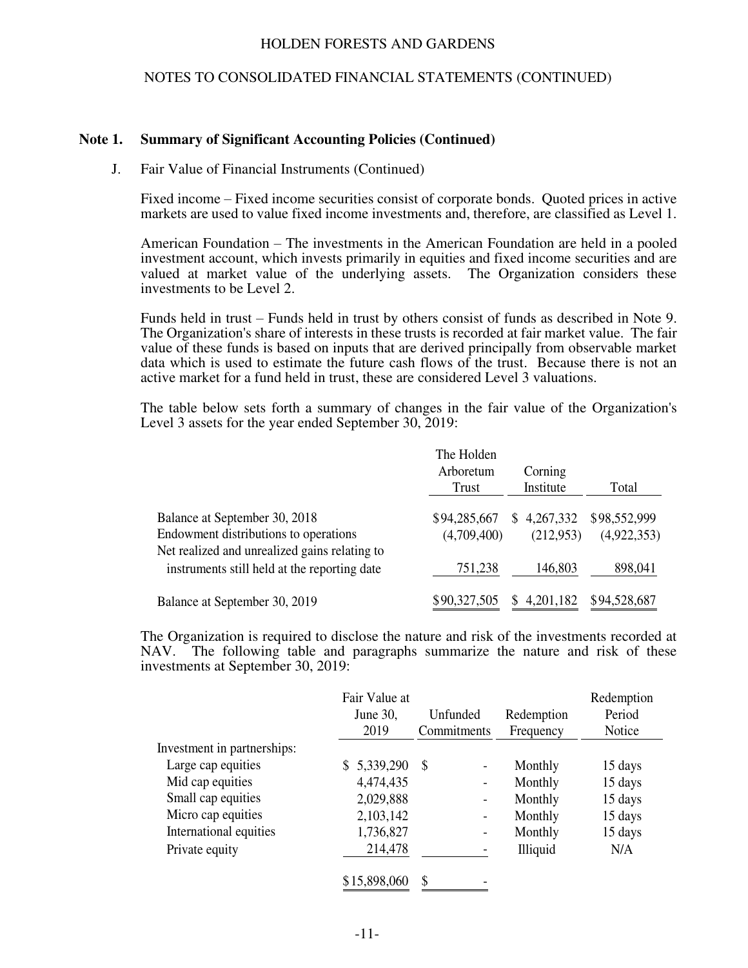#### NOTES TO CONSOLIDATED FINANCIAL STATEMENTS (CONTINUED)

#### **Note 1. Summary of Significant Accounting Policies (Continued)**

#### J. Fair Value of Financial Instruments (Continued)

 Fixed income – Fixed income securities consist of corporate bonds. Quoted prices in active markets are used to value fixed income investments and, therefore, are classified as Level 1.

 American Foundation – The investments in the American Foundation are held in a pooled investment account, which invests primarily in equities and fixed income securities and are valued at market value of the underlying assets. The Organization considers these investments to be Level 2.

 Funds held in trust – Funds held in trust by others consist of funds as described in Note 9. The Organization's share of interests in these trusts is recorded at fair market value. The fair value of these funds is based on inputs that are derived principally from observable market data which is used to estimate the future cash flows of the trust. Because there is not an active market for a fund held in trust, these are considered Level 3 valuations.

 The table below sets forth a summary of changes in the fair value of the Organization's Level 3 assets for the year ended September 30, 2019:

|                                               | The Holden<br>Arboretum<br>Trust | Corning<br>Institute | Total        |
|-----------------------------------------------|----------------------------------|----------------------|--------------|
|                                               |                                  |                      |              |
| Balance at September 30, 2018                 | \$94,285,667                     | \$4,267,332          | \$98,552,999 |
| Endowment distributions to operations         | (4,709,400)                      | (212,953)            | (4,922,353)  |
| Net realized and unrealized gains relating to |                                  |                      |              |
| instruments still held at the reporting date  | 751,238                          | 146,803              | 898,041      |
|                                               |                                  |                      |              |
| Balance at September 30, 2019                 | \$90,327,505                     | 4,201,182            | \$94,528,687 |

 The Organization is required to disclose the nature and risk of the investments recorded at NAV. The following table and paragraphs summarize the nature and risk of these investments at September 30, 2019:

|                             | Fair Value at |                                           |                 | Redemption |
|-----------------------------|---------------|-------------------------------------------|-----------------|------------|
|                             | June 30,      | Unfunded                                  | Redemption      | Period     |
|                             | 2019          | Commitments                               | Frequency       | Notice     |
| Investment in partnerships: |               |                                           |                 |            |
| Large cap equities          | 5,339,290     | <sup>\$</sup><br>$\overline{\phantom{a}}$ | Monthly         | 15 days    |
| Mid cap equities            | 4,474,435     | $\qquad \qquad \blacksquare$              | Monthly         | 15 days    |
| Small cap equities          | 2,029,888     | $\overline{\phantom{0}}$                  | Monthly         | 15 days    |
| Micro cap equities          | 2,103,142     | $\overline{\phantom{0}}$                  | Monthly         | 15 days    |
| International equities      | 1,736,827     | $\overline{\phantom{a}}$                  | Monthly         | 15 days    |
| Private equity              | 214,478       |                                           | <b>Illiquid</b> | N/A        |
|                             | \$15,898,060  | \$                                        |                 |            |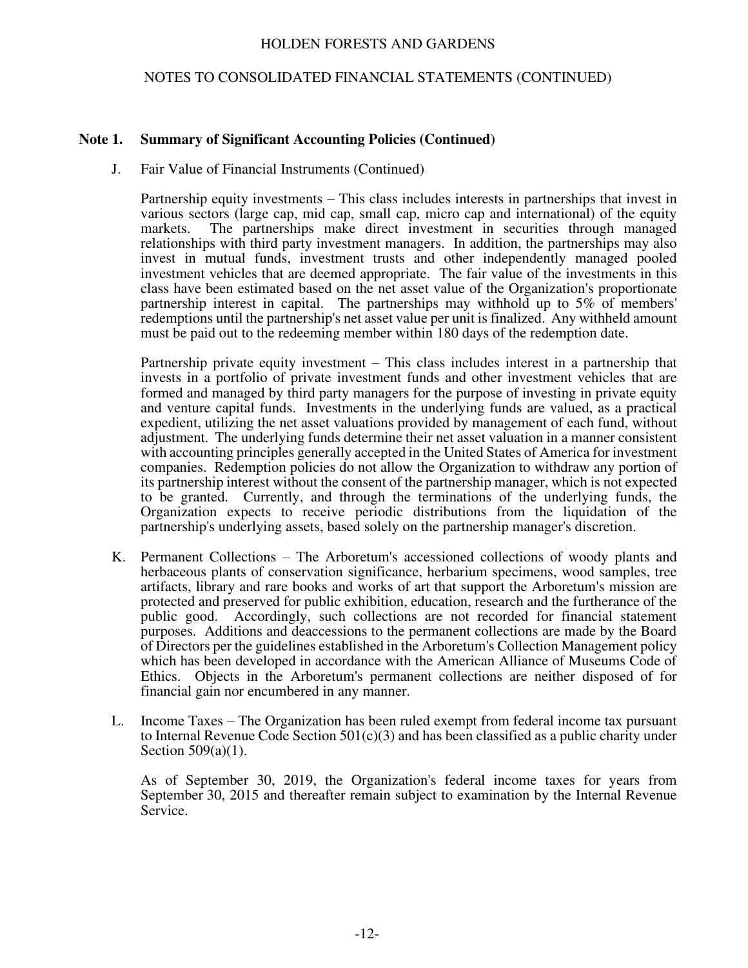### NOTES TO CONSOLIDATED FINANCIAL STATEMENTS (CONTINUED)

### **Note 1. Summary of Significant Accounting Policies (Continued)**

J. Fair Value of Financial Instruments (Continued)

 Partnership equity investments – This class includes interests in partnerships that invest in various sectors (large cap, mid cap, small cap, micro cap and international) of the equity markets. The partnerships make direct investment in securities through managed relationships with third party investment managers. In addition, the partnerships may also invest in mutual funds, investment trusts and other independently managed pooled investment vehicles that are deemed appropriate. The fair value of the investments in this class have been estimated based on the net asset value of the Organization's proportionate partnership interest in capital. The partnerships may withhold up to 5% of members' redemptions until the partnership's net asset value per unit is finalized. Any withheld amount must be paid out to the redeeming member within 180 days of the redemption date.

 Partnership private equity investment – This class includes interest in a partnership that invests in a portfolio of private investment funds and other investment vehicles that are formed and managed by third party managers for the purpose of investing in private equity and venture capital funds. Investments in the underlying funds are valued, as a practical expedient, utilizing the net asset valuations provided by management of each fund, without adjustment. The underlying funds determine their net asset valuation in a manner consistent with accounting principles generally accepted in the United States of America for investment companies. Redemption policies do not allow the Organization to withdraw any portion of its partnership interest without the consent of the partnership manager, which is not expected to be granted. Currently, and through the terminations of the underlying funds, the Organization expects to receive periodic distributions from the liquidation of the partnership's underlying assets, based solely on the partnership manager's discretion.

- K. Permanent Collections The Arboretum's accessioned collections of woody plants and herbaceous plants of conservation significance, herbarium specimens, wood samples, tree artifacts, library and rare books and works of art that support the Arboretum's mission are protected and preserved for public exhibition, education, research and the furtherance of the public good. Accordingly, such collections are not recorded for financial statement purposes. Additions and deaccessions to the permanent collections are made by the Board of Directors per the guidelines established in the Arboretum's Collection Management policy which has been developed in accordance with the American Alliance of Museums Code of Ethics. Objects in the Arboretum's permanent collections are neither disposed of for financial gain nor encumbered in any manner.
- L. Income Taxes The Organization has been ruled exempt from federal income tax pursuant to Internal Revenue Code Section  $501(c)(3)$  and has been classified as a public charity under Section 509(a)(1).

 As of September 30, 2019, the Organization's federal income taxes for years from September 30, 2015 and thereafter remain subject to examination by the Internal Revenue Service.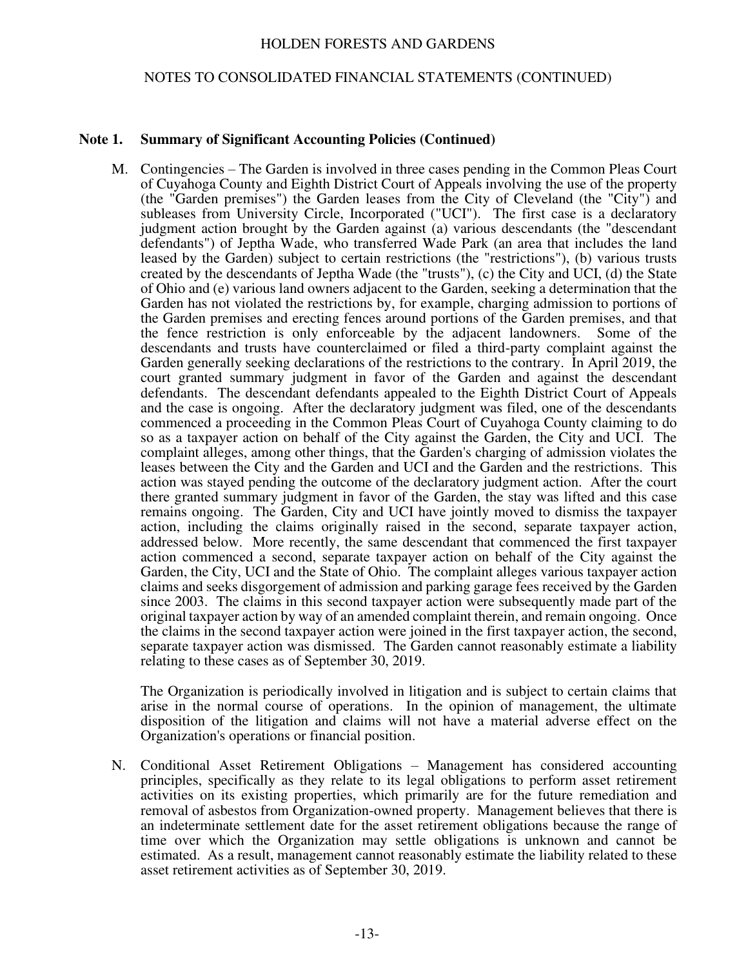#### NOTES TO CONSOLIDATED FINANCIAL STATEMENTS (CONTINUED)

#### **Note 1. Summary of Significant Accounting Policies (Continued)**

M. Contingencies – The Garden is involved in three cases pending in the Common Pleas Court of Cuyahoga County and Eighth District Court of Appeals involving the use of the property (the "Garden premises") the Garden leases from the City of Cleveland (the "City") and subleases from University Circle, Incorporated ("UCI"). The first case is a declaratory judgment action brought by the Garden against (a) various descendants (the "descendant defendants") of Jeptha Wade, who transferred Wade Park (an area that includes the land leased by the Garden) subject to certain restrictions (the "restrictions"), (b) various trusts created by the descendants of Jeptha Wade (the "trusts"), (c) the City and UCI, (d) the State of Ohio and (e) various land owners adjacent to the Garden, seeking a determination that the Garden has not violated the restrictions by, for example, charging admission to portions of the Garden premises and erecting fences around portions of the Garden premises, and that the fence restriction is only enforceable by the adjacent landowners. Some of the descendants and trusts have counterclaimed or filed a third-party complaint against the Garden generally seeking declarations of the restrictions to the contrary. In April 2019, the court granted summary judgment in favor of the Garden and against the descendant defendants. The descendant defendants appealed to the Eighth District Court of Appeals and the case is ongoing. After the declaratory judgment was filed, one of the descendants commenced a proceeding in the Common Pleas Court of Cuyahoga County claiming to do so as a taxpayer action on behalf of the City against the Garden, the City and UCI. The complaint alleges, among other things, that the Garden's charging of admission violates the leases between the City and the Garden and UCI and the Garden and the restrictions. This action was stayed pending the outcome of the declaratory judgment action. After the court there granted summary judgment in favor of the Garden, the stay was lifted and this case remains ongoing. The Garden, City and UCI have jointly moved to dismiss the taxpayer action, including the claims originally raised in the second, separate taxpayer action, addressed below. More recently, the same descendant that commenced the first taxpayer action commenced a second, separate taxpayer action on behalf of the City against the Garden, the City, UCI and the State of Ohio. The complaint alleges various taxpayer action claims and seeks disgorgement of admission and parking garage fees received by the Garden since 2003. The claims in this second taxpayer action were subsequently made part of the original taxpayer action by way of an amended complaint therein, and remain ongoing. Once the claims in the second taxpayer action were joined in the first taxpayer action, the second, separate taxpayer action was dismissed. The Garden cannot reasonably estimate a liability relating to these cases as of September 30, 2019.

 The Organization is periodically involved in litigation and is subject to certain claims that arise in the normal course of operations. In the opinion of management, the ultimate disposition of the litigation and claims will not have a material adverse effect on the Organization's operations or financial position.

N. Conditional Asset Retirement Obligations – Management has considered accounting principles, specifically as they relate to its legal obligations to perform asset retirement activities on its existing properties, which primarily are for the future remediation and removal of asbestos from Organization-owned property. Management believes that there is an indeterminate settlement date for the asset retirement obligations because the range of time over which the Organization may settle obligations is unknown and cannot be estimated. As a result, management cannot reasonably estimate the liability related to these asset retirement activities as of September 30, 2019.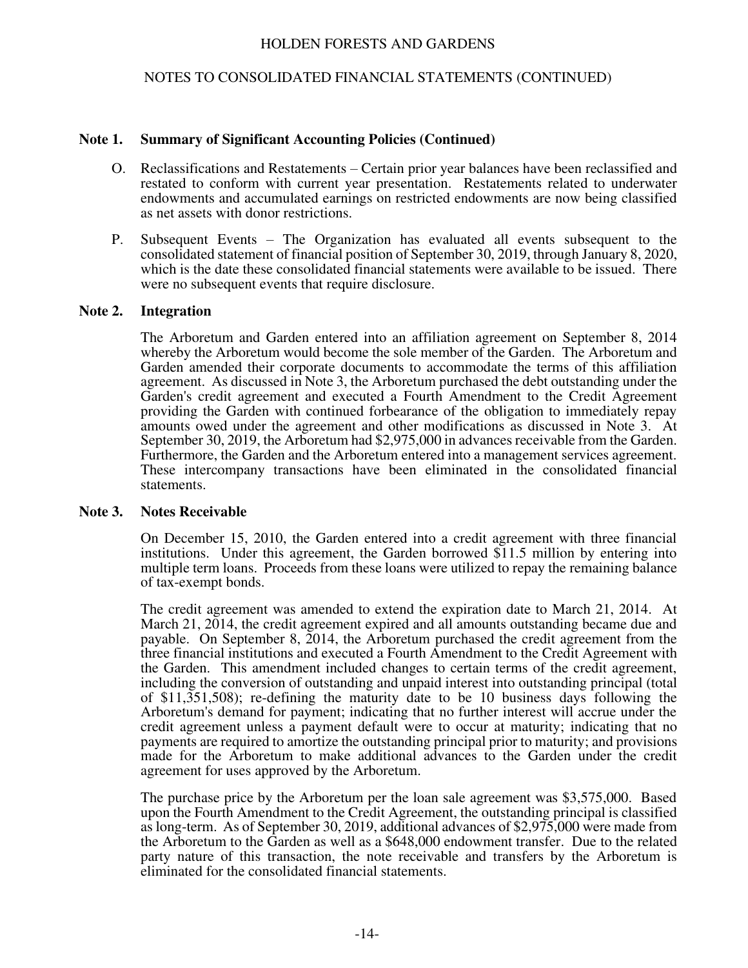### NOTES TO CONSOLIDATED FINANCIAL STATEMENTS (CONTINUED)

#### **Note 1. Summary of Significant Accounting Policies (Continued)**

- O. Reclassifications and Restatements Certain prior year balances have been reclassified and restated to conform with current year presentation. Restatements related to underwater endowments and accumulated earnings on restricted endowments are now being classified as net assets with donor restrictions.
- P. Subsequent Events The Organization has evaluated all events subsequent to the consolidated statement of financial position of September 30, 2019, through January 8, 2020, which is the date these consolidated financial statements were available to be issued. There were no subsequent events that require disclosure.

#### **Note 2. Integration**

The Arboretum and Garden entered into an affiliation agreement on September 8, 2014 whereby the Arboretum would become the sole member of the Garden. The Arboretum and Garden amended their corporate documents to accommodate the terms of this affiliation agreement. As discussed in Note 3, the Arboretum purchased the debt outstanding under the Garden's credit agreement and executed a Fourth Amendment to the Credit Agreement providing the Garden with continued forbearance of the obligation to immediately repay amounts owed under the agreement and other modifications as discussed in Note 3. At September 30, 2019, the Arboretum had \$2,975,000 in advances receivable from the Garden. Furthermore, the Garden and the Arboretum entered into a management services agreement. These intercompany transactions have been eliminated in the consolidated financial statements.

#### **Note 3. Notes Receivable**

On December 15, 2010, the Garden entered into a credit agreement with three financial institutions. Under this agreement, the Garden borrowed \$11.5 million by entering into multiple term loans. Proceeds from these loans were utilized to repay the remaining balance of tax-exempt bonds.

The credit agreement was amended to extend the expiration date to March 21, 2014. At March 21, 2014, the credit agreement expired and all amounts outstanding became due and payable. On September 8, 2014, the Arboretum purchased the credit agreement from the three financial institutions and executed a Fourth Amendment to the Credit Agreement with the Garden. This amendment included changes to certain terms of the credit agreement, including the conversion of outstanding and unpaid interest into outstanding principal (total of \$11,351,508); re-defining the maturity date to be 10 business days following the Arboretum's demand for payment; indicating that no further interest will accrue under the credit agreement unless a payment default were to occur at maturity; indicating that no payments are required to amortize the outstanding principal prior to maturity; and provisions made for the Arboretum to make additional advances to the Garden under the credit agreement for uses approved by the Arboretum.

The purchase price by the Arboretum per the loan sale agreement was \$3,575,000. Based upon the Fourth Amendment to the Credit Agreement, the outstanding principal is classified as long-term. As of September 30, 2019, additional advances of \$2,975,000 were made from the Arboretum to the Garden as well as a \$648,000 endowment transfer. Due to the related party nature of this transaction, the note receivable and transfers by the Arboretum is eliminated for the consolidated financial statements.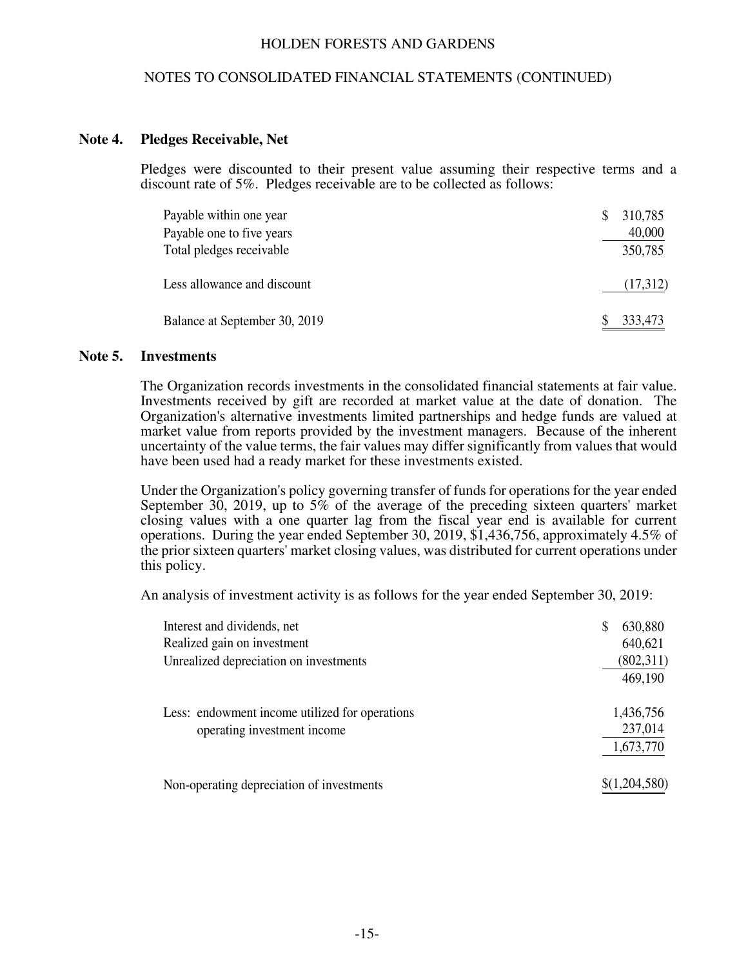### NOTES TO CONSOLIDATED FINANCIAL STATEMENTS (CONTINUED)

### **Note 4. Pledges Receivable, Net**

Pledges were discounted to their present value assuming their respective terms and a discount rate of 5%. Pledges receivable are to be collected as follows:

| Payable within one year       | 310,785  |
|-------------------------------|----------|
| Payable one to five years     | 40,000   |
| Total pledges receivable      | 350,785  |
| Less allowance and discount   | (17,312) |
| Balance at September 30, 2019 | 333,473  |

#### **Note 5. Investments**

The Organization records investments in the consolidated financial statements at fair value. Investments received by gift are recorded at market value at the date of donation. The Organization's alternative investments limited partnerships and hedge funds are valued at market value from reports provided by the investment managers. Because of the inherent uncertainty of the value terms, the fair values may differ significantly from values that would have been used had a ready market for these investments existed.

Under the Organization's policy governing transfer of funds for operations for the year ended September 30, 2019, up to 5% of the average of the preceding sixteen quarters' market closing values with a one quarter lag from the fiscal year end is available for current operations. During the year ended September 30, 2019, \$1,436,756, approximately 4.5% of the prior sixteen quarters' market closing values, was distributed for current operations under this policy.

An analysis of investment activity is as follows for the year ended September 30, 2019:

| Interest and dividends, net                    | 630,880       |
|------------------------------------------------|---------------|
| Realized gain on investment                    | 640,621       |
| Unrealized depreciation on investments         | (802, 311)    |
|                                                | 469,190       |
| Less: endowment income utilized for operations | 1,436,756     |
| operating investment income                    | 237,014       |
|                                                | 1,673,770     |
| Non-operating depreciation of investments      | \$(1,204,580) |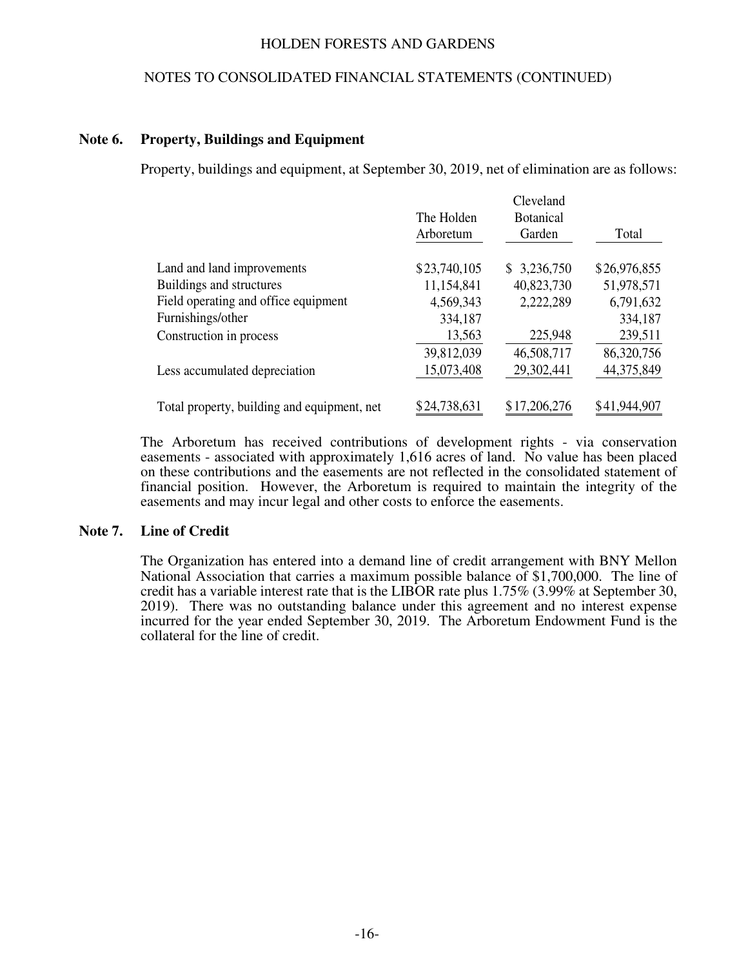### NOTES TO CONSOLIDATED FINANCIAL STATEMENTS (CONTINUED)

#### **Note 6. Property, Buildings and Equipment**

Property, buildings and equipment, at September 30, 2019, net of elimination are as follows:

|                                             | The Holden<br>Arboretum | Cleveland<br><b>Botanical</b><br>Garden | Total        |
|---------------------------------------------|-------------------------|-----------------------------------------|--------------|
| Land and land improvements                  | \$23,740,105            | \$3,236,750                             | \$26,976,855 |
| Buildings and structures                    | 11,154,841              | 40,823,730                              | 51,978,571   |
| Field operating and office equipment        | 4,569,343               | 2,222,289                               | 6,791,632    |
| Furnishings/other                           | 334,187                 |                                         | 334,187      |
| Construction in process                     | 13,563                  | 225,948                                 | 239,511      |
|                                             | 39,812,039              | 46,508,717                              | 86,320,756   |
| Less accumulated depreciation               | 15,073,408              | 29,302,441                              | 44,375,849   |
| Total property, building and equipment, net | \$24,738,631            | \$17,206,276                            | \$41,944,907 |

The Arboretum has received contributions of development rights - via conservation easements - associated with approximately 1,616 acres of land. No value has been placed on these contributions and the easements are not reflected in the consolidated statement of financial position. However, the Arboretum is required to maintain the integrity of the easements and may incur legal and other costs to enforce the easements.

#### **Note 7. Line of Credit**

The Organization has entered into a demand line of credit arrangement with BNY Mellon National Association that carries a maximum possible balance of \$1,700,000. The line of credit has a variable interest rate that is the LIBOR rate plus 1.75% (3.99% at September 30, 2019). There was no outstanding balance under this agreement and no interest expense incurred for the year ended September 30, 2019. The Arboretum Endowment Fund is the collateral for the line of credit.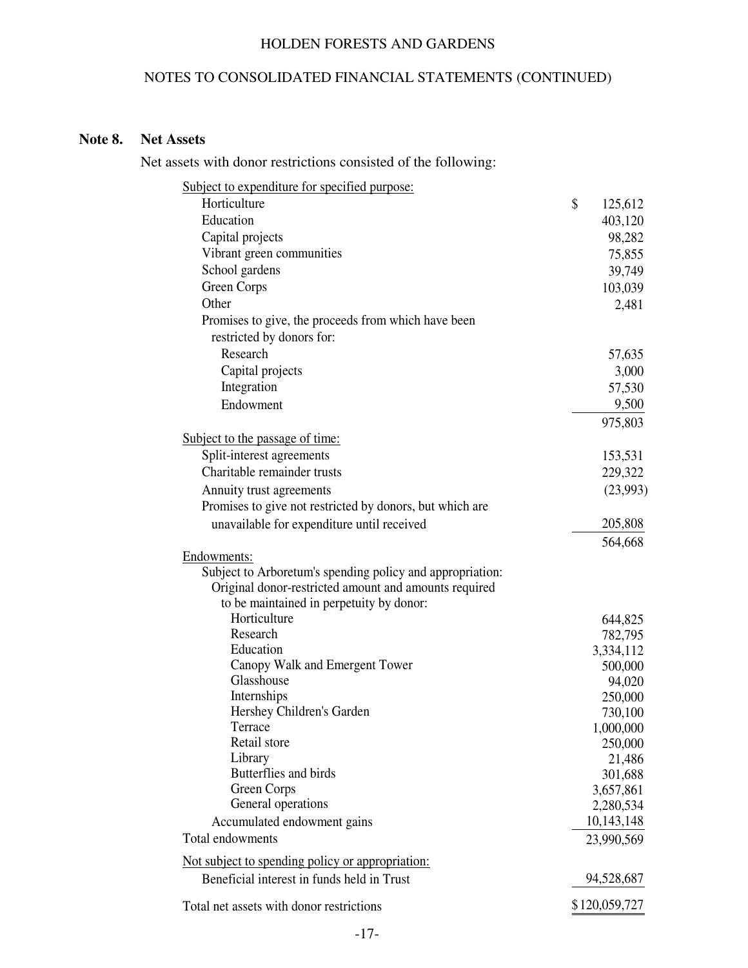# NOTES TO CONSOLIDATED FINANCIAL STATEMENTS (CONTINUED)

# **Note 8. Net Assets**

Net assets with donor restrictions consisted of the following:

| Subject to expenditure for specified purpose:             |                   |
|-----------------------------------------------------------|-------------------|
| Horticulture                                              | \$<br>125,612     |
| Education                                                 | 403,120           |
| Capital projects                                          | 98,282            |
| Vibrant green communities                                 | 75,855            |
| School gardens                                            | 39,749            |
| Green Corps                                               | 103,039           |
| Other                                                     | 2,481             |
| Promises to give, the proceeds from which have been       |                   |
| restricted by donors for:                                 |                   |
| Research                                                  | 57,635            |
| Capital projects                                          | 3,000             |
| Integration                                               | 57,530            |
| Endowment                                                 | 9,500             |
|                                                           |                   |
|                                                           | 975,803           |
| Subject to the passage of time:                           |                   |
| Split-interest agreements<br>Charitable remainder trusts  | 153,531           |
|                                                           | 229,322           |
| Annuity trust agreements                                  | (23,993)          |
| Promises to give not restricted by donors, but which are  |                   |
| unavailable for expenditure until received                | 205,808           |
|                                                           | 564,668           |
| Endowments:                                               |                   |
| Subject to Arboretum's spending policy and appropriation: |                   |
| Original donor-restricted amount and amounts required     |                   |
| to be maintained in perpetuity by donor:                  |                   |
| Horticulture<br>Research                                  | 644,825           |
| Education                                                 | 782,795           |
| Canopy Walk and Emergent Tower                            | 3,334,112         |
| Glasshouse                                                | 500,000           |
| Internships                                               | 94,020<br>250,000 |
| Hershey Children's Garden                                 | 730,100           |
| Terrace                                                   | 1,000,000         |
| Retail store                                              | 250,000           |
| Library                                                   | 21,486            |
| Butterflies and birds                                     | 301,688           |
| Green Corps                                               | 3,657,861         |
| General operations                                        | 2,280,534         |
| Accumulated endowment gains                               | 10,143,148        |
| Total endowments                                          | 23,990,569        |
|                                                           |                   |
| Not subject to spending policy or appropriation:          |                   |
| Beneficial interest in funds held in Trust                | 94,528,687        |
| Total net assets with donor restrictions                  | \$120,059,727     |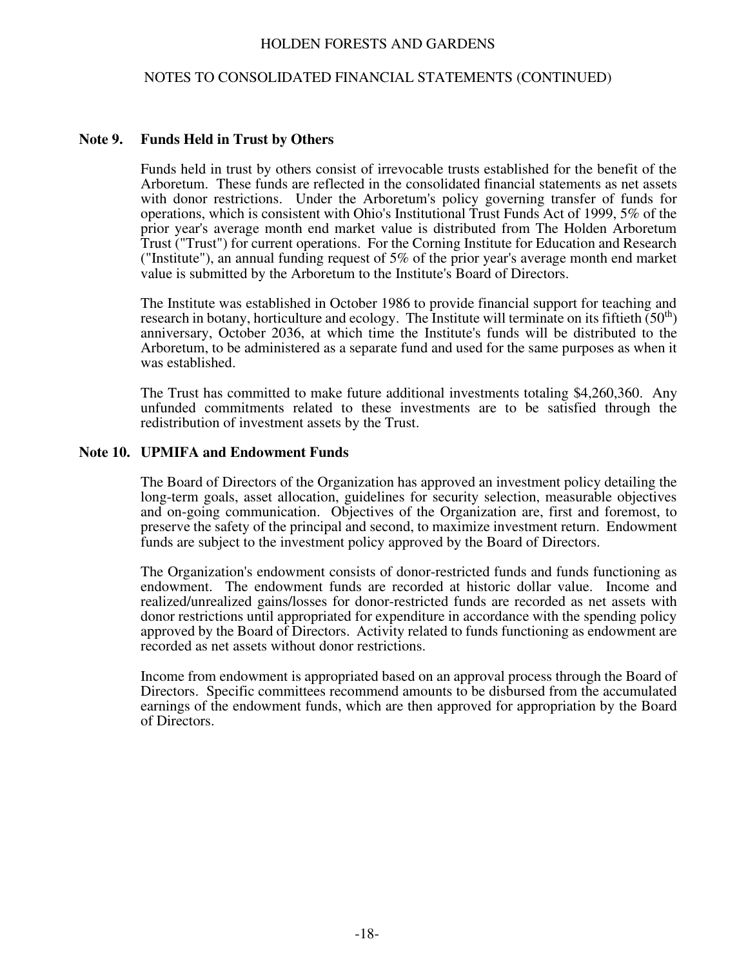#### NOTES TO CONSOLIDATED FINANCIAL STATEMENTS (CONTINUED)

#### **Note 9. Funds Held in Trust by Others**

Funds held in trust by others consist of irrevocable trusts established for the benefit of the Arboretum. These funds are reflected in the consolidated financial statements as net assets with donor restrictions. Under the Arboretum's policy governing transfer of funds for operations, which is consistent with Ohio's Institutional Trust Funds Act of 1999, 5% of the prior year's average month end market value is distributed from The Holden Arboretum Trust ("Trust") for current operations. For the Corning Institute for Education and Research ("Institute"), an annual funding request of 5% of the prior year's average month end market value is submitted by the Arboretum to the Institute's Board of Directors.

The Institute was established in October 1986 to provide financial support for teaching and research in botany, horticulture and ecology. The Institute will terminate on its fiftieth  $(50<sup>th</sup>)$ anniversary, October 2036, at which time the Institute's funds will be distributed to the Arboretum, to be administered as a separate fund and used for the same purposes as when it was established.

The Trust has committed to make future additional investments totaling \$4,260,360. Any unfunded commitments related to these investments are to be satisfied through the redistribution of investment assets by the Trust.

#### **Note 10. UPMIFA and Endowment Funds**

The Board of Directors of the Organization has approved an investment policy detailing the long-term goals, asset allocation, guidelines for security selection, measurable objectives and on-going communication. Objectives of the Organization are, first and foremost, to preserve the safety of the principal and second, to maximize investment return. Endowment funds are subject to the investment policy approved by the Board of Directors.

The Organization's endowment consists of donor-restricted funds and funds functioning as endowment. The endowment funds are recorded at historic dollar value. Income and realized/unrealized gains/losses for donor-restricted funds are recorded as net assets with donor restrictions until appropriated for expenditure in accordance with the spending policy approved by the Board of Directors. Activity related to funds functioning as endowment are recorded as net assets without donor restrictions.

Income from endowment is appropriated based on an approval process through the Board of Directors. Specific committees recommend amounts to be disbursed from the accumulated earnings of the endowment funds, which are then approved for appropriation by the Board of Directors.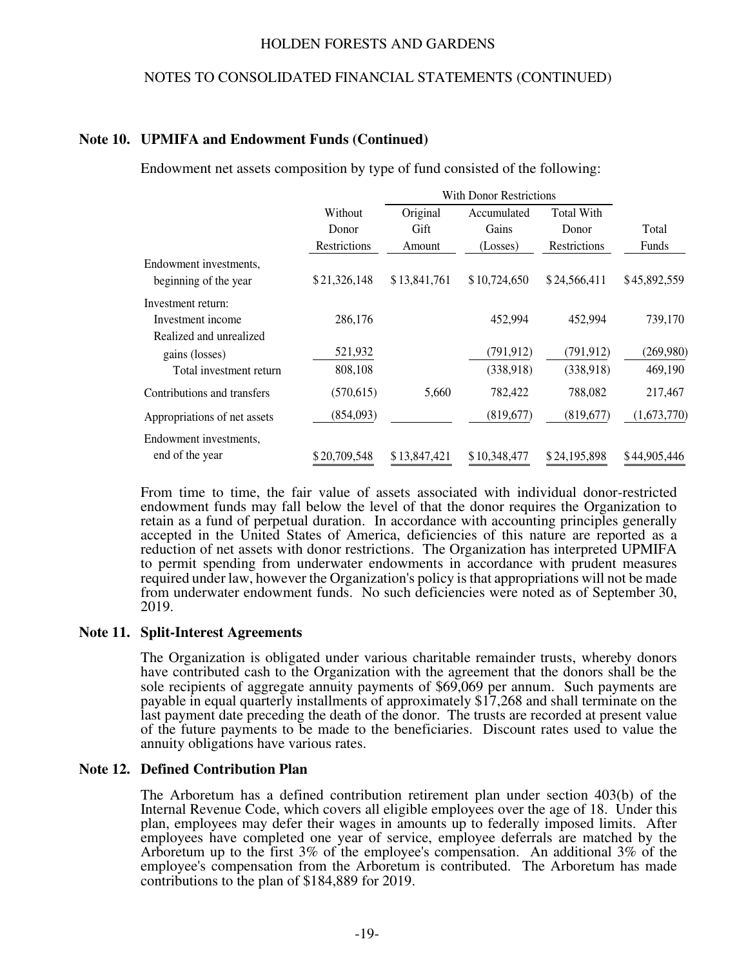### NOTES TO CONSOLIDATED FINANCIAL STATEMENTS (CONTINUED)

### **Note 10. UPMIFA and Endowment Funds (Continued)**

Endowment net assets composition by type of fund consisted of the following:

|                              | <b>With Donor Restrictions</b> |              |              |                   |              |
|------------------------------|--------------------------------|--------------|--------------|-------------------|--------------|
|                              | Without                        | Original     | Accumulated  | <b>Total With</b> |              |
|                              | Donor                          | Gift         | Gains        | Donor             | Total        |
|                              | Restrictions                   | Amount       | (Losses)     | Restrictions      | Funds        |
| Endowment investments,       |                                |              |              |                   |              |
| beginning of the year        | \$21,326,148                   | \$13,841,761 | \$10,724,650 | \$24,566,411      | \$45,892,559 |
| Investment return:           |                                |              |              |                   |              |
| Investment income            | 286,176                        |              | 452.994      | 452.994           | 739,170      |
| Realized and unrealized      |                                |              |              |                   |              |
| gains (losses)               | 521,932                        |              | (791, 912)   | (791, 912)        | (269,980)    |
| Total investment return      | 808,108                        |              | (338,918)    | (338,918)         | 469,190      |
| Contributions and transfers  | (570, 615)                     | 5,660        | 782,422      | 788,082           | 217,467      |
| Appropriations of net assets | (854,093)                      |              | (819, 677)   | (819, 677)        | (1,673,770)  |
| Endowment investments,       |                                |              |              |                   |              |
| end of the year              | \$20,709,548                   | \$13,847,421 | \$10,348,477 | \$24,195,898      | \$44,905,446 |

From time to time, the fair value of assets associated with individual donor-restricted endowment funds may fall below the level of that the donor requires the Organization to retain as a fund of perpetual duration. In accordance with accounting principles generally accepted in the United States of America, deficiencies of this nature are reported as a reduction of net assets with donor restrictions. The Organization has interpreted UPMIFA to permit spending from underwater endowments in accordance with prudent measures required under law, however the Organization's policy is that appropriations will not be made from underwater endowment funds. No such deficiencies were noted as of September 30, 2019.

#### **Note 11. Split-Interest Agreements**

The Organization is obligated under various charitable remainder trusts, whereby donors have contributed cash to the Organization with the agreement that the donors shall be the sole recipients of aggregate annuity payments of \$69,069 per annum. Such payments are payable in equal quarterly installments of approximately \$17,268 and shall terminate on the last payment date preceding the death of the donor. The trusts are recorded at present value of the future payments to be made to the beneficiaries. Discount rates used to value the annuity obligations have various rates.

#### **Note 12. Defined Contribution Plan**

The Arboretum has a defined contribution retirement plan under section 403(b) of the Internal Revenue Code, which covers all eligible employees over the age of 18. Under this plan, employees may defer their wages in amounts up to federally imposed limits. After employees have completed one year of service, employee deferrals are matched by the Arboretum up to the first 3% of the employee's compensation. An additional 3% of the employee's compensation from the Arboretum is contributed. The Arboretum has made contributions to the plan of \$184,889 for 2019.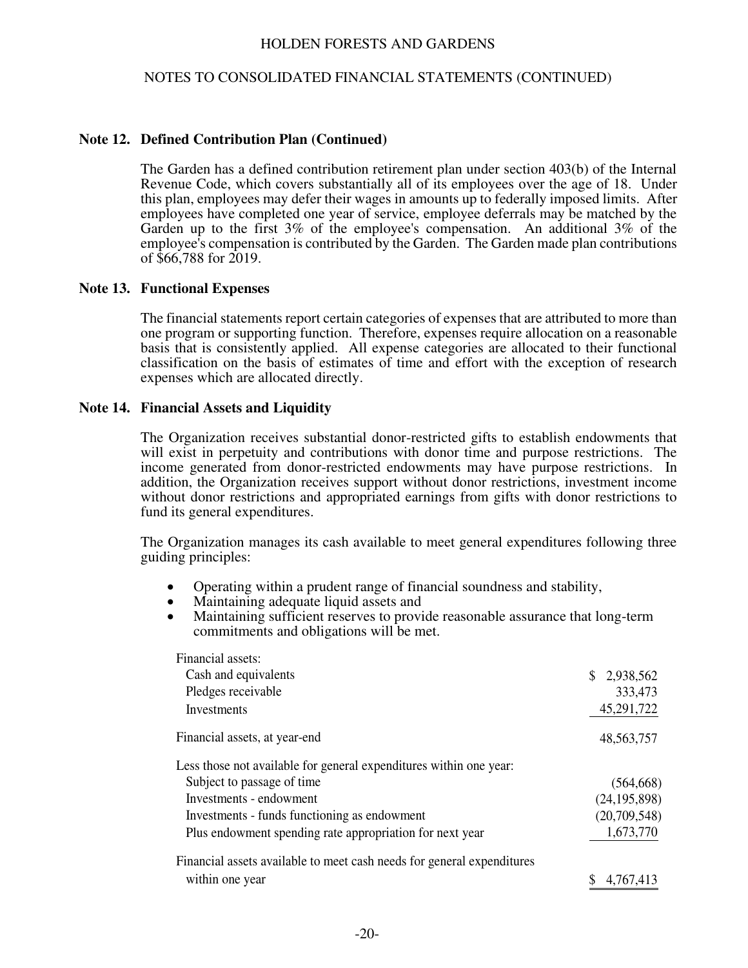#### NOTES TO CONSOLIDATED FINANCIAL STATEMENTS (CONTINUED)

#### **Note 12. Defined Contribution Plan (Continued)**

The Garden has a defined contribution retirement plan under section 403(b) of the Internal Revenue Code, which covers substantially all of its employees over the age of 18. Under this plan, employees may defer their wages in amounts up to federally imposed limits. After employees have completed one year of service, employee deferrals may be matched by the Garden up to the first 3% of the employee's compensation. An additional 3% of the employee's compensation is contributed by the Garden. The Garden made plan contributions of \$66,788 for 2019.

#### **Note 13. Functional Expenses**

The financial statements report certain categories of expenses that are attributed to more than one program or supporting function. Therefore, expenses require allocation on a reasonable basis that is consistently applied. All expense categories are allocated to their functional classification on the basis of estimates of time and effort with the exception of research expenses which are allocated directly.

#### **Note 14. Financial Assets and Liquidity**

The Organization receives substantial donor-restricted gifts to establish endowments that will exist in perpetuity and contributions with donor time and purpose restrictions. The income generated from donor-restricted endowments may have purpose restrictions. In addition, the Organization receives support without donor restrictions, investment income without donor restrictions and appropriated earnings from gifts with donor restrictions to fund its general expenditures.

The Organization manages its cash available to meet general expenditures following three guiding principles:

- Operating within a prudent range of financial soundness and stability,
- Maintaining adequate liquid assets and
- Maintaining sufficient reserves to provide reasonable assurance that long-term commitments and obligations will be met.

| Financial assets:                                                      |                |
|------------------------------------------------------------------------|----------------|
| Cash and equivalents                                                   | 2,938,562      |
| Pledges receivable                                                     | 333,473        |
| Investments                                                            | 45,291,722     |
| Financial assets, at year-end                                          | 48, 563, 757   |
| Less those not available for general expenditures within one year:     |                |
| Subject to passage of time                                             | (564, 668)     |
| Investments - endowment                                                | (24, 195, 898) |
| Investments - funds functioning as endowment                           | (20,709,548)   |
| Plus endowment spending rate appropriation for next year               | 1,673,770      |
| Financial assets available to meet cash needs for general expenditures |                |
| within one year                                                        | 4,767,413      |